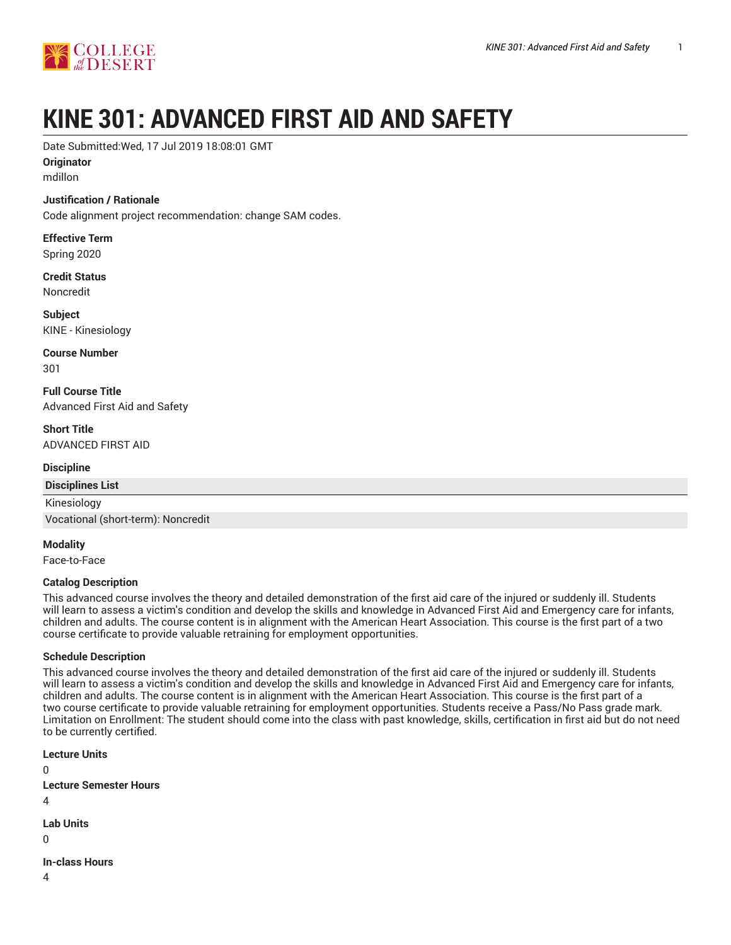

# **KINE 301: ADVANCED FIRST AID AND SAFETY**

Date Submitted:Wed, 17 Jul 2019 18:08:01 GMT

**Originator**

mdillon

#### **Justification / Rationale**

Code alignment project recommendation: change SAM codes.

**Effective Term** Spring 2020

**Credit Status** Noncredit

**Subject** KINE - Kinesiology

**Course Number** 301

**Full Course Title** Advanced First Aid and Safety

**Short Title** ADVANCED FIRST AID

**Discipline**

**Disciplines List**

Kinesiology

Vocational (short-term): Noncredit

**Modality**

Face-to-Face

#### **Catalog Description**

This advanced course involves the theory and detailed demonstration of the first aid care of the injured or suddenly ill. Students will learn to assess a victim's condition and develop the skills and knowledge in Advanced First Aid and Emergency care for infants, children and adults. The course content is in alignment with the American Heart Association. This course is the first part of a two course certificate to provide valuable retraining for employment opportunities.

#### **Schedule Description**

This advanced course involves the theory and detailed demonstration of the first aid care of the injured or suddenly ill. Students will learn to assess a victim's condition and develop the skills and knowledge in Advanced First Aid and Emergency care for infants, children and adults. The course content is in alignment with the American Heart Association. This course is the first part of a two course certificate to provide valuable retraining for employment opportunities. Students receive a Pass/No Pass grade mark. Limitation on Enrollment: The student should come into the class with past knowledge, skills, certification in first aid but do not need to be currently certified.

**Lecture Units**  $\Omega$ **Lecture Semester Hours**  $\Delta$ **Lab Units**  $\Omega$ **In-class Hours**

4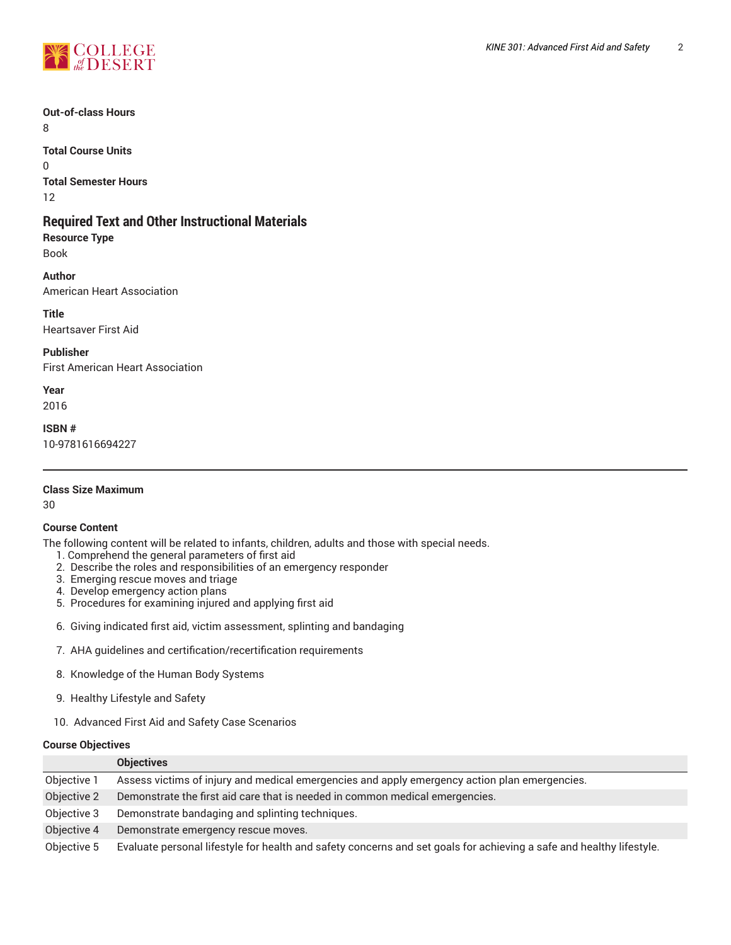

# **Out-of-class Hours**

8

**Total Course Units** 0 **Total Semester Hours** 12

# **Required Text and Other Instructional Materials**

**Resource Type** Book

**Author** American Heart Association

**Title**

Heartsaver First Aid

**Publisher**

First American Heart Association

**Year**

2016

**ISBN #**

10-9781616694227

# **Class Size Maximum**

30

# **Course Content**

The following content will be related to infants, children, adults and those with special needs.

- 1. Comprehend the general parameters of first aid
- 2. Describe the roles and responsibilities of an emergency responder
- 3. Emerging rescue moves and triage
- 4. Develop emergency action plans
- 5. Procedures for examining injured and applying first aid
- 6. Giving indicated first aid, victim assessment, splinting and bandaging
- 7. AHA guidelines and certification/recertification requirements
- 8. Knowledge of the Human Body Systems
- 9. Healthy Lifestyle and Safety
- 10. Advanced First Aid and Safety Case Scenarios

#### **Course Objectives**

|             | <b>Objectives</b>                                                                                                    |
|-------------|----------------------------------------------------------------------------------------------------------------------|
| Objective 1 | Assess victims of injury and medical emergencies and apply emergency action plan emergencies.                        |
| Objective 2 | Demonstrate the first aid care that is needed in common medical emergencies.                                         |
| Objective 3 | Demonstrate bandaging and splinting techniques.                                                                      |
| Objective 4 | Demonstrate emergency rescue moves.                                                                                  |
| Objective 5 | Evaluate personal lifestyle for health and safety concerns and set goals for achieving a safe and healthy lifestyle. |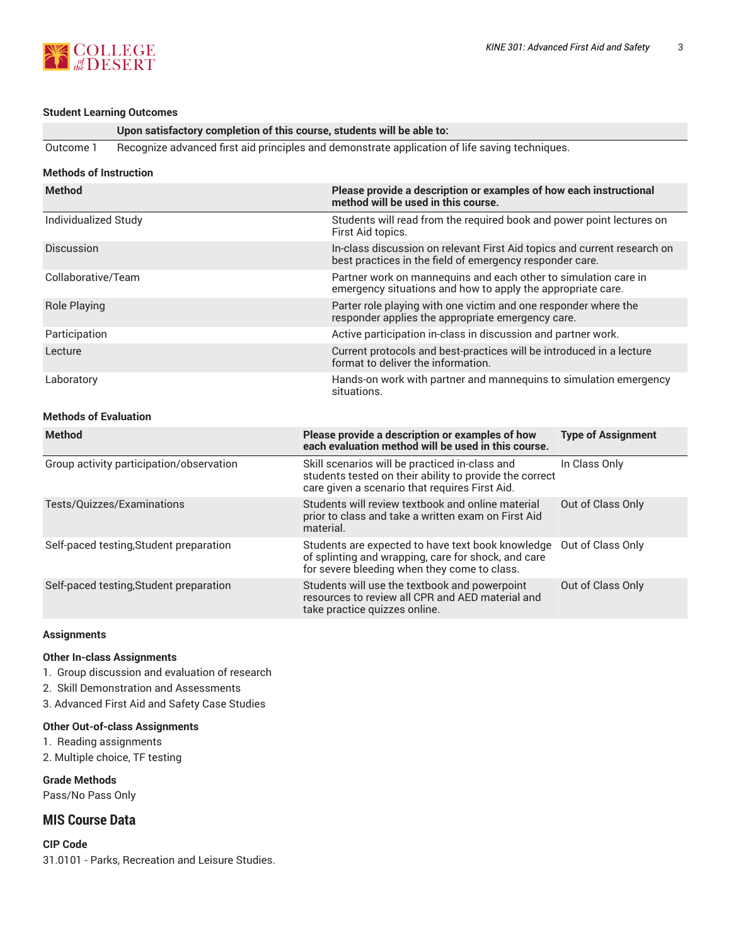

#### **Student Learning Outcomes**

#### **Upon satisfactory completion of this course, students will be able to:**

Outcome 1 Recognize advanced first aid principles and demonstrate application of life saving techniques.

#### **Methods of Instruction**

| <b>Method</b>        | Please provide a description or examples of how each instructional<br>method will be used in this course.                            |
|----------------------|--------------------------------------------------------------------------------------------------------------------------------------|
| Individualized Study | Students will read from the required book and power point lectures on<br>First Aid topics.                                           |
| <b>Discussion</b>    | In-class discussion on relevant First Aid topics and current research on<br>best practices in the field of emergency responder care. |
| Collaborative/Team   | Partner work on mannequins and each other to simulation care in<br>emergency situations and how to apply the appropriate care.       |
| <b>Role Playing</b>  | Parter role playing with one victim and one responder where the<br>responder applies the appropriate emergency care.                 |
| Participation        | Active participation in-class in discussion and partner work.                                                                        |
| Lecture              | Current protocols and best-practices will be introduced in a lecture<br>format to deliver the information.                           |
| Laboratory           | Hands-on work with partner and mannequins to simulation emergency<br>situations.                                                     |

# **Methods of Evaluation**

| <b>Method</b>                            | Please provide a description or examples of how<br>each evaluation method will be used in this course.                                                      | <b>Type of Assignment</b> |
|------------------------------------------|-------------------------------------------------------------------------------------------------------------------------------------------------------------|---------------------------|
| Group activity participation/observation | Skill scenarios will be practiced in-class and<br>students tested on their ability to provide the correct<br>care given a scenario that requires First Aid. | In Class Only             |
| Tests/Quizzes/Examinations               | Students will review textbook and online material<br>prior to class and take a written exam on First Aid<br>material.                                       | Out of Class Only         |
| Self-paced testing, Student preparation  | Students are expected to have text book knowledge<br>of splinting and wrapping, care for shock, and care<br>for severe bleeding when they come to class.    | Out of Class Only         |
| Self-paced testing, Student preparation  | Students will use the textbook and powerpoint<br>resources to review all CPR and AED material and<br>take practice quizzes online.                          | Out of Class Only         |

#### **Assignments**

#### **Other In-class Assignments**

1. Group discussion and evaluation of research

- 2. Skill Demonstration and Assessments
- 3. Advanced First Aid and Safety Case Studies

# **Other Out-of-class Assignments**

- 1. Reading assignments
- 2. Multiple choice, TF testing

**Grade Methods** Pass/No Pass Only

# **MIS Course Data**

**CIP Code** 31.0101 - Parks, Recreation and Leisure Studies.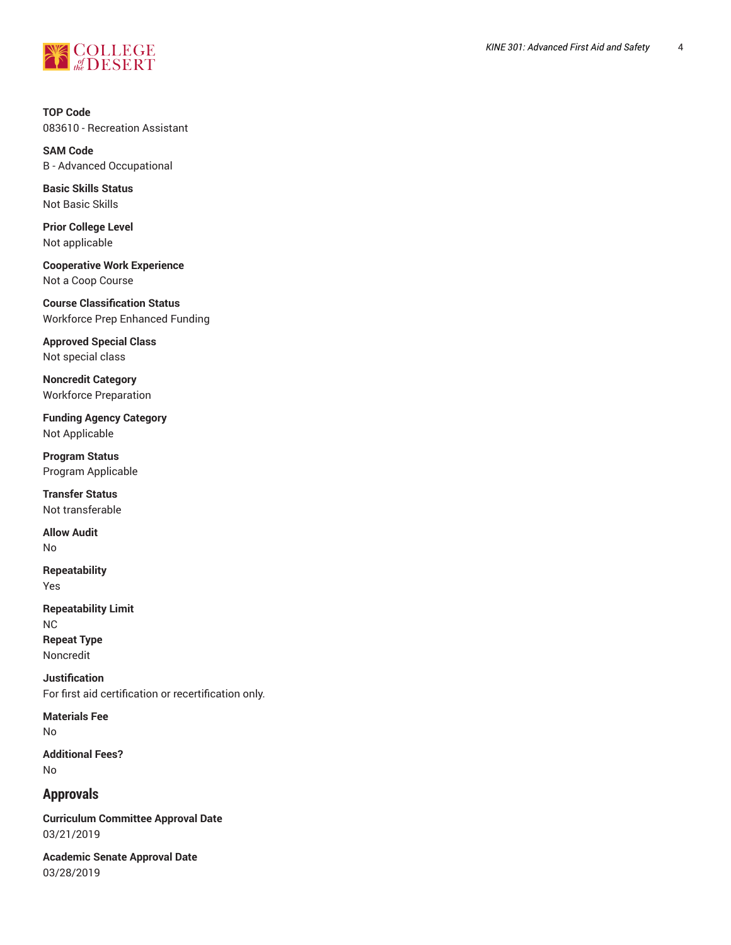

**TOP Code** 083610 - Recreation Assistant

**SAM Code** B - Advanced Occupational

**Basic Skills Status** Not Basic Skills

**Prior College Level** Not applicable

**Cooperative Work Experience** Not a Coop Course

**Course Classification Status** Workforce Prep Enhanced Funding

**Approved Special Class** Not special class

**Noncredit Category** Workforce Preparation

**Funding Agency Category** Not Applicable

**Program Status** Program Applicable

**Transfer Status** Not transferable

**Allow Audit** No

**Repeatability** Yes

**Repeatability Limit** NC **Repeat Type** Noncredit

**Justification** For first aid certification or recertification only.

**Materials Fee** No

**Additional Fees?** No

# **Approvals**

**Curriculum Committee Approval Date** 03/21/2019

**Academic Senate Approval Date** 03/28/2019